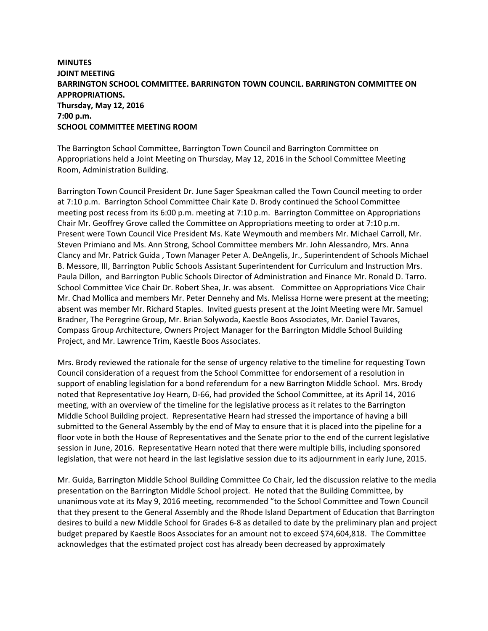## **MINUTES JOINT MEETING BARRINGTON SCHOOL COMMITTEE. BARRINGTON TOWN COUNCIL. BARRINGTON COMMITTEE ON APPROPRIATIONS. Thursday, May 12, 2016 7:00 p.m. SCHOOL COMMITTEE MEETING ROOM**

The Barrington School Committee, Barrington Town Council and Barrington Committee on Appropriations held a Joint Meeting on Thursday, May 12, 2016 in the School Committee Meeting Room, Administration Building.

Barrington Town Council President Dr. June Sager Speakman called the Town Council meeting to order at 7:10 p.m. Barrington School Committee Chair Kate D. Brody continued the School Committee meeting post recess from its 6:00 p.m. meeting at 7:10 p.m. Barrington Committee on Appropriations Chair Mr. Geoffrey Grove called the Committee on Appropriations meeting to order at 7:10 p.m. Present were Town Council Vice President Ms. Kate Weymouth and members Mr. Michael Carroll, Mr. Steven Primiano and Ms. Ann Strong, School Committee members Mr. John Alessandro, Mrs. Anna Clancy and Mr. Patrick Guida , Town Manager Peter A. DeAngelis, Jr., Superintendent of Schools Michael B. Messore, III, Barrington Public Schools Assistant Superintendent for Curriculum and Instruction Mrs. Paula Dillon, and Barrington Public Schools Director of Administration and Finance Mr. Ronald D. Tarro. School Committee Vice Chair Dr. Robert Shea, Jr. was absent. Committee on Appropriations Vice Chair Mr. Chad Mollica and members Mr. Peter Dennehy and Ms. Melissa Horne were present at the meeting; absent was member Mr. Richard Staples. Invited guests present at the Joint Meeting were Mr. Samuel Bradner, The Peregrine Group, Mr. Brian Solywoda, Kaestle Boos Associates, Mr. Daniel Tavares, Compass Group Architecture, Owners Project Manager for the Barrington Middle School Building Project, and Mr. Lawrence Trim, Kaestle Boos Associates.

Mrs. Brody reviewed the rationale for the sense of urgency relative to the timeline for requesting Town Council consideration of a request from the School Committee for endorsement of a resolution in support of enabling legislation for a bond referendum for a new Barrington Middle School. Mrs. Brody noted that Representative Joy Hearn, D-66, had provided the School Committee, at its April 14, 2016 meeting, with an overview of the timeline for the legislative process as it relates to the Barrington Middle School Building project. Representative Hearn had stressed the importance of having a bill submitted to the General Assembly by the end of May to ensure that it is placed into the pipeline for a floor vote in both the House of Representatives and the Senate prior to the end of the current legislative session in June, 2016. Representative Hearn noted that there were multiple bills, including sponsored legislation, that were not heard in the last legislative session due to its adjournment in early June, 2015.

Mr. Guida, Barrington Middle School Building Committee Co Chair, led the discussion relative to the media presentation on the Barrington Middle School project. He noted that the Building Committee, by unanimous vote at its May 9, 2016 meeting, recommended "to the School Committee and Town Council that they present to the General Assembly and the Rhode Island Department of Education that Barrington desires to build a new Middle School for Grades 6-8 as detailed to date by the preliminary plan and project budget prepared by Kaestle Boos Associates for an amount not to exceed \$74,604,818. The Committee acknowledges that the estimated project cost has already been decreased by approximately